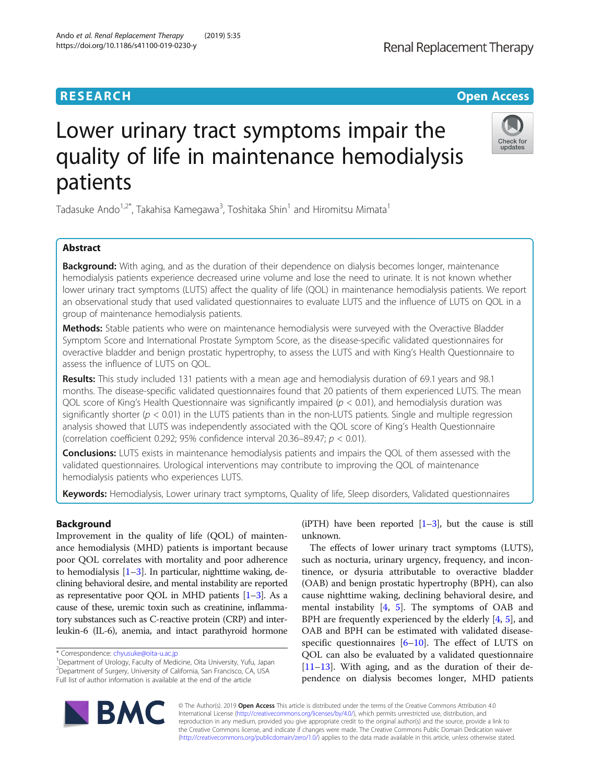# Lower urinary tract symptoms impair the quality of life in maintenance hemodialysis patients

Tadasuke Ando<sup>1,2\*</sup>, Takahisa Kamegawa<sup>3</sup>, Toshitaka Shin<sup>1</sup> and Hiromitsu Mimata<sup>1</sup>

### Abstract

**Background:** With aging, and as the duration of their dependence on dialysis becomes longer, maintenance hemodialysis patients experience decreased urine volume and lose the need to urinate. It is not known whether lower urinary tract symptoms (LUTS) affect the quality of life (QOL) in maintenance hemodialysis patients. We report an observational study that used validated questionnaires to evaluate LUTS and the influence of LUTS on QOL in a group of maintenance hemodialysis patients.

Methods: Stable patients who were on maintenance hemodialysis were surveyed with the Overactive Bladder Symptom Score and International Prostate Symptom Score, as the disease-specific validated questionnaires for overactive bladder and benign prostatic hypertrophy, to assess the LUTS and with King's Health Questionnaire to assess the influence of LUTS on QOL.

Results: This study included 131 patients with a mean age and hemodialysis duration of 69.1 years and 98.1 months. The disease-specific validated questionnaires found that 20 patients of them experienced LUTS. The mean QOL score of King's Health Questionnaire was significantly impaired ( $p < 0.01$ ), and hemodialysis duration was significantly shorter ( $p < 0.01$ ) in the LUTS patients than in the non-LUTS patients. Single and multiple regression analysis showed that LUTS was independently associated with the QOL score of King's Health Questionnaire (correlation coefficient 0.292; 95% confidence interval 20.36–89.47;  $p < 0.01$ ).

**Conclusions:** LUTS exists in maintenance hemodialysis patients and impairs the QOL of them assessed with the validated questionnaires. Urological interventions may contribute to improving the QOL of maintenance hemodialysis patients who experiences LUTS.

Keywords: Hemodialysis, Lower urinary tract symptoms, Quality of life, Sleep disorders, Validated questionnaires

### Background

Improvement in the quality of life (QOL) of maintenance hemodialysis (MHD) patients is important because poor QOL correlates with mortality and poor adherence to hemodialysis  $[1-3]$  $[1-3]$  $[1-3]$  $[1-3]$ . In particular, nighttime waking, declining behavioral desire, and mental instability are reported as representative poor OOL in MHD patients  $[1-3]$  $[1-3]$  $[1-3]$  $[1-3]$ . As a cause of these, uremic toxin such as creatinine, inflammatory substances such as C-reactive protein (CRP) and interleukin-6 (IL-6), anemia, and intact parathyroid hormone

**BMC** 

(iPTH) have been reported  $[1-3]$  $[1-3]$  $[1-3]$  $[1-3]$ , but the cause is still unknown.

The effects of lower urinary tract symptoms (LUTS), such as nocturia, urinary urgency, frequency, and incontinence, or dysuria attributable to overactive bladder (OAB) and benign prostatic hypertrophy (BPH), can also cause nighttime waking, declining behavioral desire, and mental instability  $[4, 5]$  $[4, 5]$  $[4, 5]$  $[4, 5]$  $[4, 5]$ . The symptoms of OAB and BPH are frequently experienced by the elderly [\[4](#page-4-0), [5](#page-4-0)], and OAB and BPH can be estimated with validated diseasespecific questionnaires [\[6](#page-4-0)–[10\]](#page-4-0). The effect of LUTS on QOL can also be evaluated by a validated questionnaire [[11](#page-4-0)–[13](#page-4-0)]. With aging, and as the duration of their dependence on dialysis becomes longer, MHD patients

© The Author(s). 2019 **Open Access** This article is distributed under the terms of the Creative Commons Attribution 4.0 International License [\(http://creativecommons.org/licenses/by/4.0/](http://creativecommons.org/licenses/by/4.0/)), which permits unrestricted use, distribution, and reproduction in any medium, provided you give appropriate credit to the original author(s) and the source, provide a link to the Creative Commons license, and indicate if changes were made. The Creative Commons Public Domain Dedication waiver [\(http://creativecommons.org/publicdomain/zero/1.0/](http://creativecommons.org/publicdomain/zero/1.0/)) applies to the data made available in this article, unless otherwise stated.





<sup>\*</sup> Correspondence: [chyusuke@oita-u.ac.jp](mailto:chyusuke@oita-u.ac.jp) <sup>1</sup>

<sup>&</sup>lt;sup>1</sup>Department of Urology, Faculty of Medicine, Oita University, Yufu, Japan 2 Department of Surgery, University of California, San Francisco, CA, USA Full list of author information is available at the end of the article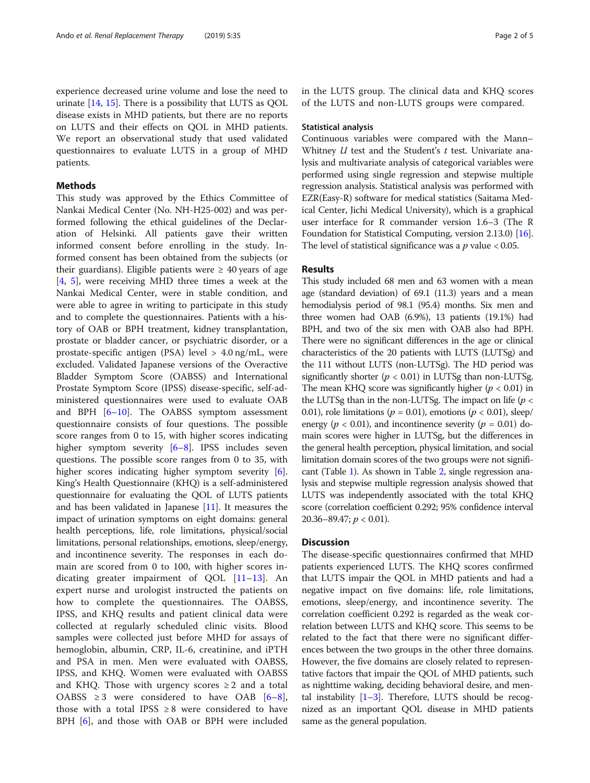experience decreased urine volume and lose the need to urinate [[14,](#page-4-0) [15](#page-4-0)]. There is a possibility that LUTS as QOL disease exists in MHD patients, but there are no reports on LUTS and their effects on QOL in MHD patients. We report an observational study that used validated questionnaires to evaluate LUTS in a group of MHD patients.

### Methods

This study was approved by the Ethics Committee of Nankai Medical Center (No. NH-H25-002) and was performed following the ethical guidelines of the Declaration of Helsinki. All patients gave their written informed consent before enrolling in the study. Informed consent has been obtained from the subjects (or their guardians). Eligible patients were  $\geq$  40 years of age [[4,](#page-4-0) [5](#page-4-0)], were receiving MHD three times a week at the Nankai Medical Center, were in stable condition, and were able to agree in writing to participate in this study and to complete the questionnaires. Patients with a history of OAB or BPH treatment, kidney transplantation, prostate or bladder cancer, or psychiatric disorder, or a prostate-specific antigen (PSA) level > 4.0 ng/mL, were excluded. Validated Japanese versions of the Overactive Bladder Symptom Score (OABSS) and International Prostate Symptom Score (IPSS) disease-specific, self-administered questionnaires were used to evaluate OAB and BPH  $[6-10]$  $[6-10]$  $[6-10]$  $[6-10]$ . The OABSS symptom assessment questionnaire consists of four questions. The possible score ranges from 0 to 15, with higher scores indicating higher symptom severity [[6](#page-4-0)–[8](#page-4-0)]. IPSS includes seven questions. The possible score ranges from 0 to 35, with higher scores indicating higher symptom severity [\[6](#page-4-0)]. King's Health Questionnaire (KHQ) is a self-administered questionnaire for evaluating the QOL of LUTS patients and has been validated in Japanese [[11\]](#page-4-0). It measures the impact of urination symptoms on eight domains: general health perceptions, life, role limitations, physical/social limitations, personal relationships, emotions, sleep/energy, and incontinence severity. The responses in each domain are scored from 0 to 100, with higher scores indicating greater impairment of QOL [[11](#page-4-0)–[13\]](#page-4-0). An expert nurse and urologist instructed the patients on how to complete the questionnaires. The OABSS, IPSS, and KHQ results and patient clinical data were collected at regularly scheduled clinic visits. Blood samples were collected just before MHD for assays of hemoglobin, albumin, CRP, IL-6, creatinine, and iPTH and PSA in men. Men were evaluated with OABSS, IPSS, and KHQ. Women were evaluated with OABSS and KHQ. Those with urgency scores  $\geq 2$  and a total OABSS ≥ 3 were considered to have OAB  $[6-8]$  $[6-8]$  $[6-8]$  $[6-8]$  $[6-8]$ , those with a total IPSS  $\geq 8$  were considered to have BPH [[6\]](#page-4-0), and those with OAB or BPH were included in the LUTS group. The clinical data and KHQ scores of the LUTS and non-LUTS groups were compared.

### Statistical analysis

Continuous variables were compared with the Mann– Whitney  $U$  test and the Student's  $t$  test. Univariate analysis and multivariate analysis of categorical variables were performed using single regression and stepwise multiple regression analysis. Statistical analysis was performed with EZR(Easy-R) software for medical statistics (Saitama Medical Center, Jichi Medical University), which is a graphical user interface for R commander version 1.6–3 (The R Foundation for Statistical Computing, version 2.13.0) [[16](#page-4-0)]. The level of statistical significance was a  $p$  value < 0.05.

### Results

This study included 68 men and 63 women with a mean age (standard deviation) of 69.1 (11.3) years and a mean hemodialysis period of 98.1 (95.4) months. Six men and three women had OAB (6.9%), 13 patients (19.1%) had BPH, and two of the six men with OAB also had BPH. There were no significant differences in the age or clinical characteristics of the 20 patients with LUTS (LUTSg) and the 111 without LUTS (non-LUTSg). The HD period was significantly shorter  $(p < 0.01)$  in LUTSg than non-LUTSg. The mean KHQ score was significantly higher ( $p < 0.01$ ) in the LUTSg than in the non-LUTSg. The impact on life ( $p <$ 0.01), role limitations ( $p = 0.01$ ), emotions ( $p < 0.01$ ), sleep/ energy ( $p < 0.01$ ), and incontinence severity ( $p = 0.01$ ) domain scores were higher in LUTSg, but the differences in the general health perception, physical limitation, and social limitation domain scores of the two groups were not significant (Table [1](#page-2-0)). As shown in Table [2](#page-3-0), single regression analysis and stepwise multiple regression analysis showed that LUTS was independently associated with the total KHQ score (correlation coefficient 0.292; 95% confidence interval 20.36–89.47;  $p < 0.01$ ).

### **Discussion**

The disease-specific questionnaires confirmed that MHD patients experienced LUTS. The KHQ scores confirmed that LUTS impair the QOL in MHD patients and had a negative impact on five domains: life, role limitations, emotions, sleep/energy, and incontinence severity. The correlation coefficient 0.292 is regarded as the weak correlation between LUTS and KHQ score. This seems to be related to the fact that there were no significant differences between the two groups in the other three domains. However, the five domains are closely related to representative factors that impair the QOL of MHD patients, such as nighttime waking, deciding behavioral desire, and mental instability  $[1-3]$  $[1-3]$  $[1-3]$ . Therefore, LUTS should be recognized as an important QOL disease in MHD patients same as the general population.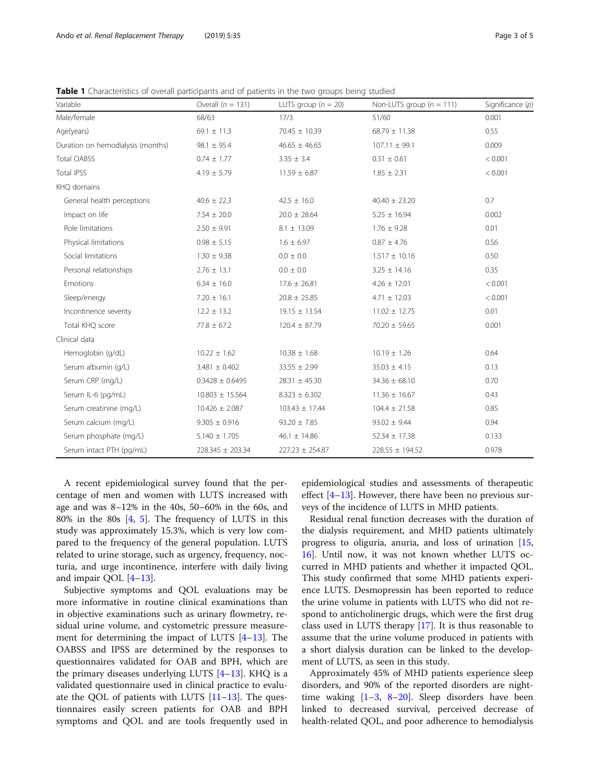<span id="page-2-0"></span>Table 1 Characteristics of overall participants and of patients in the two groups being studied

| Variable                          | Overall $(n = 131)$ | LUTS group $(n = 20)$ | Non-LUTS group ( $n = 111$ ) | Significance (p) |
|-----------------------------------|---------------------|-----------------------|------------------------------|------------------|
| Male/female                       | 68/63               | 17/3                  | 51/60                        | 0.001            |
| Age(years)                        | $69.1 \pm 11.3$     | $70.45 \pm 10.39$     | $68.79 \pm 11.38$            | 0.55             |
| Duration on hemodialysis (months) | $98.1 \pm 95.4$     | $46.65 \pm 46.65$     | $107.11 \pm 99.1$            | 0.009            |
| <b>Total OABSS</b>                | $0.74 \pm 1.77$     | $3.35 \pm 3.4$        | $0.31 \pm 0.61$              | < 0.001          |
| Total IPSS                        | $4.19 \pm 5.79$     | $11.59 \pm 6.87$      | $1.85 \pm 2.31$              | < 0.001          |
| KHQ domains                       |                     |                       |                              |                  |
| General health perceptions        | $40.6 \pm 22.3$     | $42.5 \pm 16.0$       | $40.40 \pm 23.20$            | 0.7              |
| Impact on life                    | $7.54 \pm 20.0$     | $20.0 \pm 28.64$      | $5.25 \pm 16.94$             | 0.002            |
| Role limitations                  | $2.50 \pm 9.91$     | $8.1 \pm 13.09$       | $1.76 \pm 9.28$              | 0.01             |
| Physical limitations              | $0.98 \pm 5.15$     | $1.6 \pm 6.97$        | $0.87 \pm 4.76$              | 0.56             |
| Social limitations                | $1.30 \pm 9.38$     | $0.0 \pm 0.0$         | $1.517 \pm 10.16$            | 0.50             |
| Personal relationships            | $2.76 \pm 13.1$     | $0.0 \pm 0.0$         | $3.25 \pm 14.16$             | 0.35             |
| Emotions                          | $6.34 \pm 16.0$     | $17.6 \pm 26.81$      | $4.26 \pm 12.01$             | < 0.001          |
| Sleep/energy                      | $7.20 \pm 16.1$     | $20.8 \pm 25.85$      | $4.71 \pm 12.03$             | < 0.001          |
| Incontinence severity             | $12.2 \pm 13.2$     | $19.15 \pm 13.54$     | $11.02 \pm 12.75$            | 0.01             |
| Total KHQ score                   | $77.8 \pm 67.2$     | $120.4 \pm 87.79$     | $70.20 \pm 59.65$            | 0.001            |
| Clinical data                     |                     |                       |                              |                  |
| Hemoglobin (g/dL)                 | $10.22 \pm 1.62$    | $10.38 \pm 1.68$      | $10.19 \pm 1.26$             | 0.64             |
| Serum albumin (g/L)               | $3.481 \pm 0.402$   | $33.55 \pm 2.99$      | $35.03 \pm 4.15$             | 0.13             |
| Serum CRP (mg/L)                  | $0.3428 \pm 0.6495$ | $28.31 \pm 45.30$     | $34.36 \pm 68.10$            | 0.70             |
| Serum IL-6 (pg/mL)                | $10.803 \pm 15.564$ | $8.323 \pm 6.302$     | $11.36 \pm 16.67$            | 0.43             |
| Serum creatinine (mg/L)           | $10.426 \pm 2.087$  | $103.43 \pm 17.44$    | $104.4 \pm 21.58$            | 0.85             |
| Serum calcium (mg/L)              | $9.305 \pm 0.916$   | $93.20 \pm 7.85$      | $93.02 \pm 9.44$             | 0.94             |
| Serum phosphate (mg/L)            | $5.140 \pm 1.705$   | $46.1 \pm 14.86$      | $52.34 \pm 17.38$            | 0.133            |
| Serum intact PTH (pg/mL)          | 228.345 ± 203.34    | $227.23 \pm 254.87$   | $228.55 \pm 194.52$          | 0.978            |

A recent epidemiological survey found that the percentage of men and women with LUTS increased with age and was 8–12% in the 40s, 50–60% in the 60s, and 80% in the 80s [\[4](#page-4-0), [5](#page-4-0)]. The frequency of LUTS in this study was approximately 15.3%, which is very low compared to the frequency of the general population. LUTS related to urine storage, such as urgency, frequency, nocturia, and urge incontinence, interfere with daily living and impair QOL [\[4](#page-4-0)–[13\]](#page-4-0).

Subjective symptoms and QOL evaluations may be more informative in routine clinical examinations than in objective examinations such as urinary flowmetry, residual urine volume, and cystometric pressure measurement for determining the impact of LUTS [\[4](#page-4-0)–[13\]](#page-4-0). The OABSS and IPSS are determined by the responses to questionnaires validated for OAB and BPH, which are the primary diseases underlying LUTS [[4](#page-4-0)–[13\]](#page-4-0). KHQ is a validated questionnaire used in clinical practice to evaluate the QOL of patients with LUTS [[11](#page-4-0)–[13](#page-4-0)]. The questionnaires easily screen patients for OAB and BPH symptoms and QOL and are tools frequently used in

epidemiological studies and assessments of therapeutic effect [[4](#page-4-0)–[13\]](#page-4-0). However, there have been no previous surveys of the incidence of LUTS in MHD patients.

Residual renal function decreases with the duration of the dialysis requirement, and MHD patients ultimately progress to oliguria, anuria, and loss of urination [[15](#page-4-0), [16\]](#page-4-0). Until now, it was not known whether LUTS occurred in MHD patients and whether it impacted QOL. This study confirmed that some MHD patients experience LUTS. Desmopressin has been reported to reduce the urine volume in patients with LUTS who did not respond to anticholinergic drugs, which were the first drug class used in LUTS therapy [[17\]](#page-4-0). It is thus reasonable to assume that the urine volume produced in patients with a short dialysis duration can be linked to the development of LUTS, as seen in this study.

Approximately 45% of MHD patients experience sleep disorders, and 90% of the reported disorders are nighttime waking  $[1-3, 8-20]$  $[1-3, 8-20]$  $[1-3, 8-20]$  $[1-3, 8-20]$  $[1-3, 8-20]$  $[1-3, 8-20]$  $[1-3, 8-20]$ . Sleep disorders have been linked to decreased survival, perceived decrease of health-related QOL, and poor adherence to hemodialysis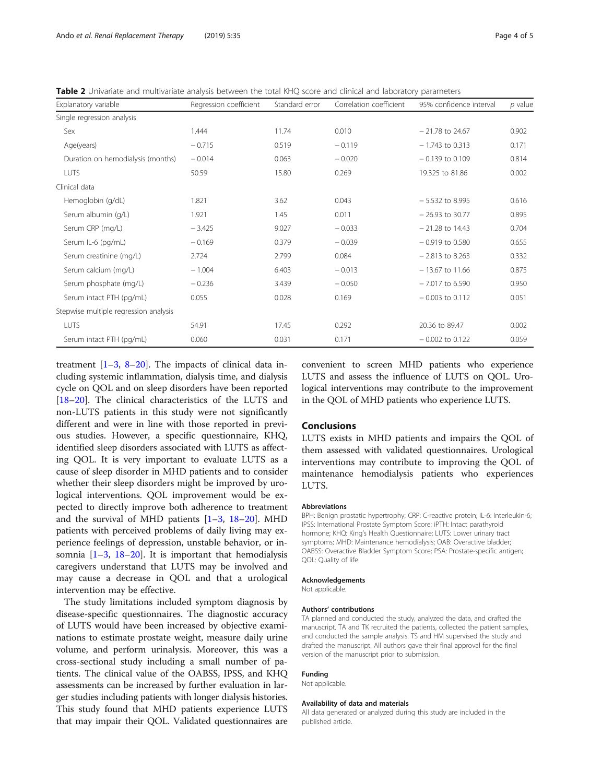<span id="page-3-0"></span>Table 2 Univariate and multivariate analysis between the total KHQ score and clinical and laboratory parameters

| Explanatory variable                  | Regression coefficient | Standard error | Correlation coefficient | 95% confidence interval | $p$ value |
|---------------------------------------|------------------------|----------------|-------------------------|-------------------------|-----------|
| Single regression analysis            |                        |                |                         |                         |           |
| Sex                                   | 1.444                  | 11.74          | 0.010                   | $-21.78$ to 24.67       | 0.902     |
| Age(years)                            | $-0.715$               | 0.519          | $-0.119$                | $-1.743$ to 0.313       | 0.171     |
| Duration on hemodialysis (months)     | $-0.014$               | 0.063          | $-0.020$                | $-0.139$ to 0.109       | 0.814     |
| <b>LUTS</b>                           | 50.59                  | 15.80          | 0.269                   | 19.325 to 81.86         | 0.002     |
| Clinical data                         |                        |                |                         |                         |           |
| Hemoglobin (g/dL)                     | 1.821                  | 3.62           | 0.043                   | $-5.532$ to 8.995       | 0.616     |
| Serum albumin (g/L)                   | 1.921                  | 1.45           | 0.011                   | $-26.93$ to 30.77       | 0.895     |
| Serum CRP (mg/L)                      | $-3.425$               | 9.027          | $-0.033$                | $-21.28$ to 14.43       | 0.704     |
| Serum IL-6 (pg/mL)                    | $-0.169$               | 0.379          | $-0.039$                | $-0.919$ to 0.580       | 0.655     |
| Serum creatinine (mg/L)               | 2.724                  | 2.799          | 0.084                   | $-2.813$ to 8.263       | 0.332     |
| Serum calcium (mg/L)                  | $-1.004$               | 6.403          | $-0.013$                | $-13.67$ to 11.66       | 0.875     |
| Serum phosphate (mg/L)                | $-0.236$               | 3.439          | $-0.050$                | $-7.017$ to 6.590       | 0.950     |
| Serum intact PTH (pg/mL)              | 0.055                  | 0.028          | 0.169                   | $-0.003$ to 0.112       | 0.051     |
| Stepwise multiple regression analysis |                        |                |                         |                         |           |
| LUTS                                  | 54.91                  | 17.45          | 0.292                   | 20.36 to 89.47          | 0.002     |
| Serum intact PTH (pg/mL)              | 0.060                  | 0.031          | 0.171                   | $-0.002$ to 0.122       | 0.059     |

treatment  $[1-3, 8-20]$  $[1-3, 8-20]$  $[1-3, 8-20]$  $[1-3, 8-20]$  $[1-3, 8-20]$  $[1-3, 8-20]$  $[1-3, 8-20]$ . The impacts of clinical data including systemic inflammation, dialysis time, and dialysis cycle on QOL and on sleep disorders have been reported [[18](#page-4-0)–[20](#page-4-0)]. The clinical characteristics of the LUTS and non-LUTS patients in this study were not significantly different and were in line with those reported in previous studies. However, a specific questionnaire, KHQ, identified sleep disorders associated with LUTS as affecting QOL. It is very important to evaluate LUTS as a cause of sleep disorder in MHD patients and to consider whether their sleep disorders might be improved by urological interventions. QOL improvement would be expected to directly improve both adherence to treatment and the survival of MHD patients  $[1-3, 18-20]$  $[1-3, 18-20]$  $[1-3, 18-20]$  $[1-3, 18-20]$  $[1-3, 18-20]$  $[1-3, 18-20]$  $[1-3, 18-20]$  $[1-3, 18-20]$ . MHD patients with perceived problems of daily living may experience feelings of depression, unstable behavior, or insomnia  $[1-3, 18-20]$  $[1-3, 18-20]$  $[1-3, 18-20]$  $[1-3, 18-20]$  $[1-3, 18-20]$  $[1-3, 18-20]$  $[1-3, 18-20]$  $[1-3, 18-20]$  $[1-3, 18-20]$ . It is important that hemodialysis caregivers understand that LUTS may be involved and may cause a decrease in QOL and that a urological intervention may be effective.

The study limitations included symptom diagnosis by disease-specific questionnaires. The diagnostic accuracy of LUTS would have been increased by objective examinations to estimate prostate weight, measure daily urine volume, and perform urinalysis. Moreover, this was a cross-sectional study including a small number of patients. The clinical value of the OABSS, IPSS, and KHQ assessments can be increased by further evaluation in larger studies including patients with longer dialysis histories. This study found that MHD patients experience LUTS that may impair their QOL. Validated questionnaires are

convenient to screen MHD patients who experience LUTS and assess the influence of LUTS on QOL. Urological interventions may contribute to the improvement in the QOL of MHD patients who experience LUTS.

### Conclusions

LUTS exists in MHD patients and impairs the QOL of them assessed with validated questionnaires. Urological interventions may contribute to improving the QOL of maintenance hemodialysis patients who experiences LUTS.

### Abbreviations

BPH: Benign prostatic hypertrophy; CRP: C-reactive protein; IL-6: Interleukin-6; IPSS: International Prostate Symptom Score; iPTH: Intact parathyroid hormone; KHQ: King's Health Questionnaire; LUTS: Lower urinary tract symptoms; MHD: Maintenance hemodialysis; OAB: Overactive bladder; OABSS: Overactive Bladder Symptom Score; PSA: Prostate-specific antigen; QOL: Quality of life

#### Acknowledgements

Not applicable.

### Authors' contributions

TA planned and conducted the study, analyzed the data, and drafted the manuscript. TA and TK recruited the patients, collected the patient samples, and conducted the sample analysis. TS and HM supervised the study and drafted the manuscript. All authors gave their final approval for the final version of the manuscript prior to submission.

### Funding

## Not applicable.

### Availability of data and materials

All data generated or analyzed during this study are included in the published article.